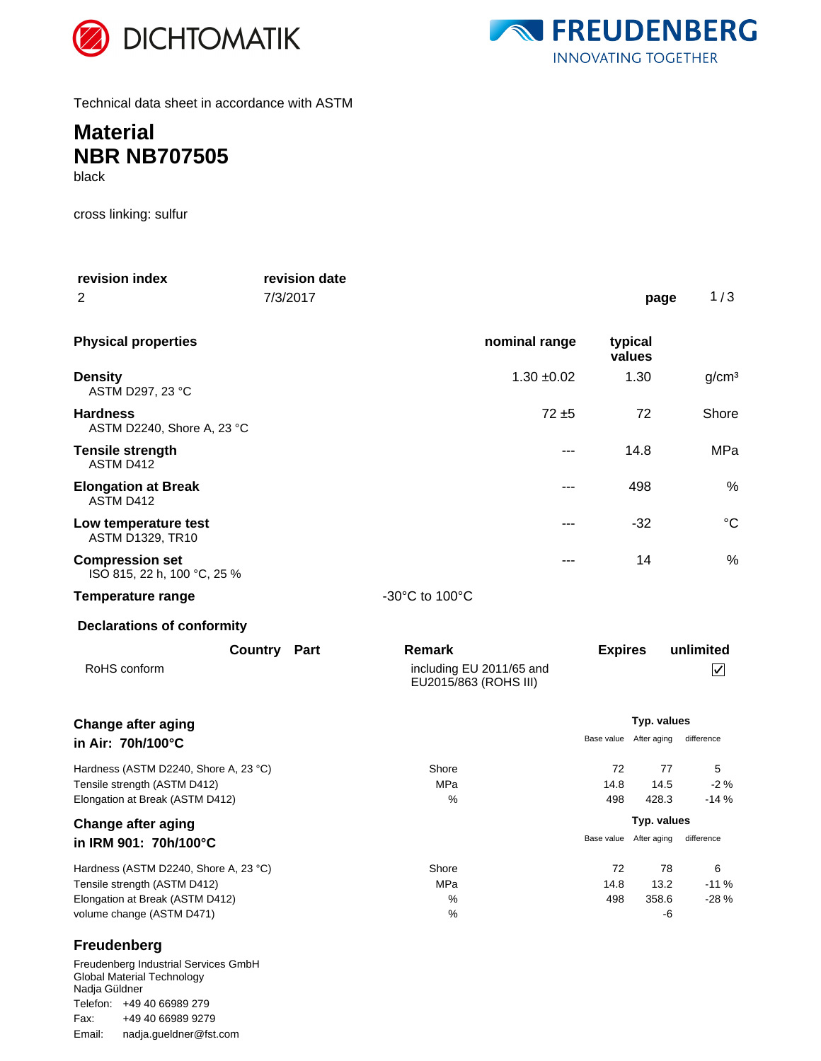



Technical data sheet in accordance with ASTM

## **Material NBR NB707505**

black

cross linking: sulfur

| revision index                                                                                                                        | revision date       |                                                   |                        |                           |                         |
|---------------------------------------------------------------------------------------------------------------------------------------|---------------------|---------------------------------------------------|------------------------|---------------------------|-------------------------|
| 2                                                                                                                                     | 7/3/2017            |                                                   |                        | page                      | 1/3                     |
| <b>Physical properties</b>                                                                                                            |                     | nominal range                                     |                        | typical<br>values         |                         |
| <b>Density</b><br>ASTM D297, 23 °C                                                                                                    |                     | $1.30 + 0.02$                                     |                        | 1.30                      | g/cm <sup>3</sup>       |
| <b>Hardness</b><br>ASTM D2240, Shore A, 23 °C                                                                                         |                     | $72 + 5$                                          |                        | 72                        | Shore                   |
| <b>Tensile strength</b><br>ASTM D412                                                                                                  |                     | ---                                               |                        | 14.8                      | MPa                     |
| <b>Elongation at Break</b><br>ASTM D412                                                                                               |                     | ---                                               |                        | 498                       | %                       |
| Low temperature test<br><b>ASTM D1329, TR10</b>                                                                                       |                     | ---                                               |                        | $-32$                     | $\rm ^{\circ}C$         |
| <b>Compression set</b><br>ISO 815, 22 h, 100 °C, 25 %                                                                                 |                     | ---                                               |                        | 14                        | %                       |
| <b>Temperature range</b>                                                                                                              |                     | -30°C to 100°C                                    |                        |                           |                         |
| <b>Declarations of conformity</b>                                                                                                     |                     |                                                   |                        |                           |                         |
|                                                                                                                                       | <b>Country Part</b> | Remark                                            | <b>Expires</b>         |                           | unlimited               |
| RoHS conform                                                                                                                          |                     | including EU 2011/65 and<br>EU2015/863 (ROHS III) |                        |                           | $\overline{\mathsf{v}}$ |
| <b>Change after aging</b>                                                                                                             |                     |                                                   | Typ. values            |                           |                         |
| in Air: 70h/100°C                                                                                                                     |                     |                                                   | Base value             | After aging               | difference              |
| Hardness (ASTM D2240, Shore A, 23 °C)<br>Tensile strength (ASTM D412)<br>Elongation at Break (ASTM D412)                              |                     | Shore<br>MPa<br>℅                                 | 72<br>14.8<br>498      | 77<br>14.5<br>428.3       | 5<br>$-2%$<br>$-14%$    |
| <b>Change after aging</b>                                                                                                             |                     |                                                   | Typ. values            |                           |                         |
| in IRM 901: 70h/100°C                                                                                                                 |                     |                                                   | Base value After aging |                           | difference              |
| Hardness (ASTM D2240, Shore A, 23 °C)<br>Tensile strength (ASTM D412)<br>Elongation at Break (ASTM D412)<br>volume change (ASTM D471) |                     | Shore<br>MPa<br>$\%$<br>%                         | 72<br>14.8<br>498      | 78<br>13.2<br>358.6<br>-6 | 6<br>$-11%$<br>$-28%$   |
| Freudenberg                                                                                                                           |                     |                                                   |                        |                           |                         |
| Freudenberg Industrial Services GmbH<br>Clohol Motorial Tophnology                                                                    |                     |                                                   |                        |                           |                         |

Global Material Technology Nadja Güldner Telefon: +49 40 66989 279 Email: nadja.gueldner@fst.com Fax: +49 40 66989 9279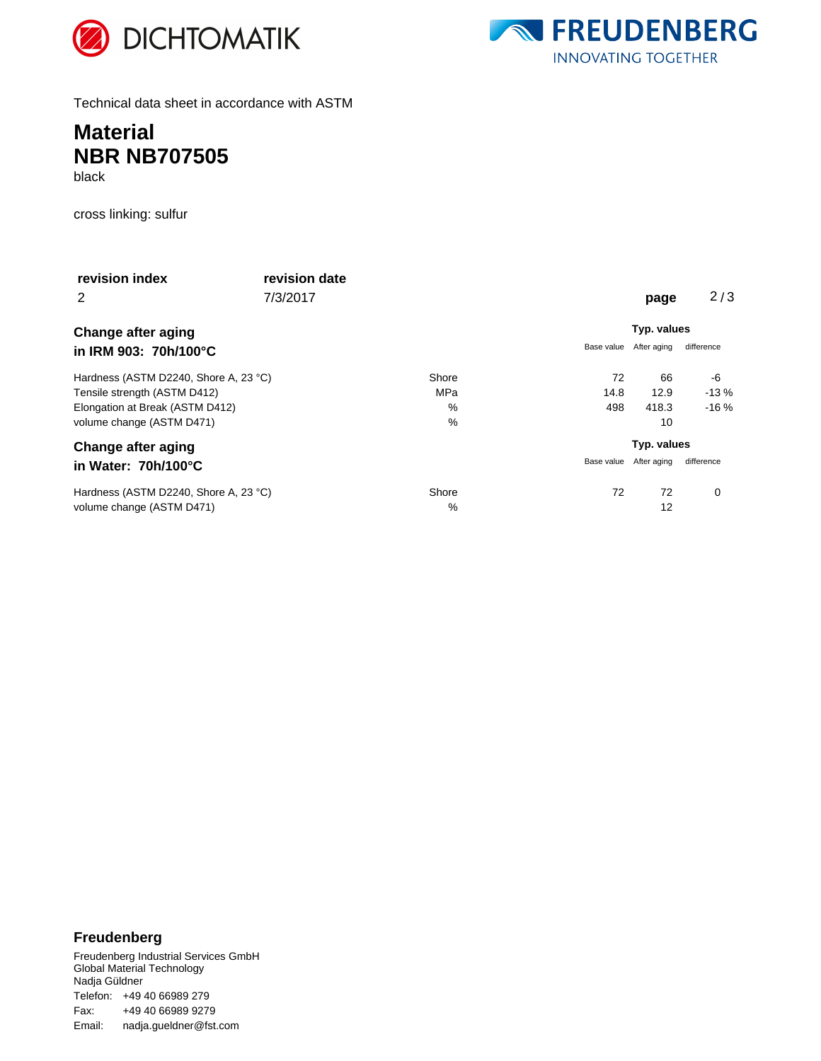



Technical data sheet in accordance with ASTM

### **Material NBR NB707505** black

cross linking: sulfur

| revision index                        | revision date |               |            |             |            |  |
|---------------------------------------|---------------|---------------|------------|-------------|------------|--|
| 2                                     | 7/3/2017      |               |            | page        | 2/3        |  |
| <b>Change after aging</b>             |               |               |            | Typ. values |            |  |
| in IRM 903: 70h/100°C                 |               |               | Base value | After aging | difference |  |
| Hardness (ASTM D2240, Shore A, 23 °C) |               | Shore         | 72         | 66          | -6         |  |
| Tensile strength (ASTM D412)          |               | MPa           | 14.8       | 12.9        | $-13%$     |  |
| Elongation at Break (ASTM D412)       |               | $\frac{0}{0}$ | 498        | 418.3       | $-16%$     |  |
| volume change (ASTM D471)             |               | $\frac{0}{0}$ |            | 10          |            |  |
| <b>Change after aging</b>             |               |               |            | Typ. values |            |  |
| in Water: 70h/100°C                   |               |               | Base value | After aging | difference |  |
| Hardness (ASTM D2240, Shore A, 23 °C) |               | Shore         | 72         | 72          | 0          |  |
| volume change (ASTM D471)             |               | $\%$          |            | 12          |            |  |

### **Freudenberg**

Freudenberg Industrial Services GmbH Global Material Technology Nadja Güldner Telefon: +49 40 66989 279 Email: nadja.gueldner@fst.com Fax: +49 40 66989 9279